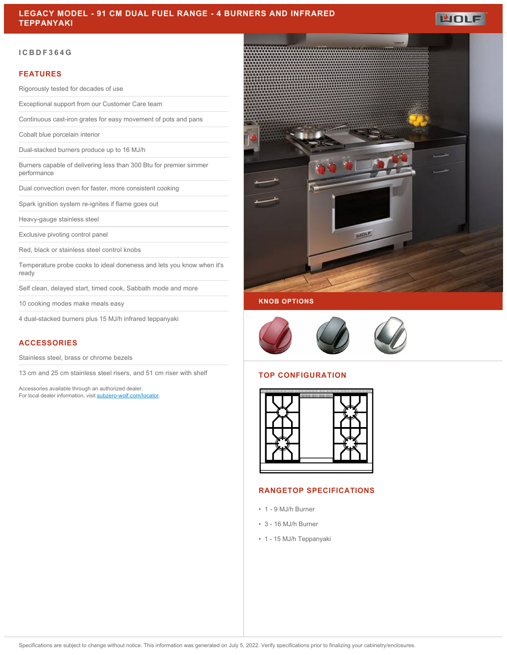## **ICBDF364G**

### **FEATURES**

Rigorously tested for decades of use

Exceptional support from our Customer Care team

Continuous cast-iron grates for easy movement of pots and pans

Cobalt blue porcelain interior

Dual-stacked burners produce up to 16 MJ/h

Burners capable of delivering less than 300 Btu for premier simmer performance

Dual convection oven for faster, more consistent cooking

Spark ignition system re-ignites if flame goes out

Heavy-gauge stainless steel

Exclusive pivoting control panel

Red, black or stainless steel control knobs

Temperature probe cooks to ideal doneness and lets you know when it's ready

Self clean, delayed start, timed cook, Sabbath mode and more

10 cooking modes make meals easy

4 dual-stacked burners plus 15 MJ/h infrared teppanyaki

## **ACCESSORIES**

Stainless steel, brass or chrome bezels

13 cm and 25 cm stainless steel risers, and 51 cm riser with shelf

Accessories available through an authorized dealer. For local dealer information, visit [subzero-wolf.com/locator.](http://www.subzero-wolf.com/locator)





### **TOP CONFIGURATION**



## **RANGETOP SPECIFICATIONS**

- 1 9 MJ/h Burner
- 3 16 MJ/h Burner
- 1 15 MJ/h Teppanyaki